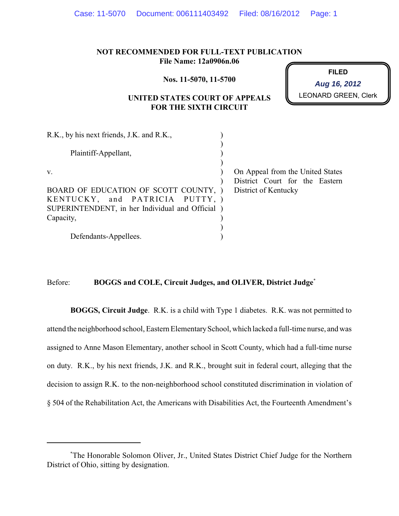|  | Case: 11-5070  Document: 006111403492  Filed: 08/16/2012  Page: 1 |  |  |
|--|-------------------------------------------------------------------|--|--|
|--|-------------------------------------------------------------------|--|--|

## **NOT RECOMMENDED FOR FULL-TEXT PUBLICATION File Name: 12a0906n.06**

**Nos. 11-5070, 11-5700**

**FILED** LEONARD GREEN, Clerk **Aug 16, 2012**

# **UNITED STATES COURT OF APPEALS FOR THE SIXTH CIRCUIT**

| R.K., by his next friends, J.K. and R.K.,        |  |                                  |
|--------------------------------------------------|--|----------------------------------|
|                                                  |  |                                  |
| Plaintiff-Appellant,                             |  |                                  |
|                                                  |  |                                  |
| V.                                               |  | On Appeal from the United States |
|                                                  |  | District Court for the Eastern   |
| BOARD OF EDUCATION OF SCOTT COUNTY, )            |  | District of Kentucky             |
| KENTUCKY, and PATRICIA PUTTY, )                  |  |                                  |
| SUPERINTENDENT, in her Individual and Official ) |  |                                  |
| Capacity,                                        |  |                                  |
|                                                  |  |                                  |
| Defendants-Appellees.                            |  |                                  |

### Before: **BOGGS and COLE, Circuit Judges, and OLIVER, District Judge**\*

**BOGGS, Circuit Judge**. R.K. is a child with Type 1 diabetes. R.K. was not permitted to attend the neighborhood school, Eastern ElementarySchool, which lacked a full-time nurse, and was assigned to Anne Mason Elementary, another school in Scott County, which had a full-time nurse on duty. R.K., by his next friends, J.K. and R.K., brought suit in federal court, alleging that the decision to assign R.K. to the non-neighborhood school constituted discrimination in violation of § 504 of the Rehabilitation Act, the Americans with Disabilities Act, the Fourteenth Amendment's

The Honorable Solomon Oliver, Jr., United States District Chief Judge for the Northern \* District of Ohio, sitting by designation.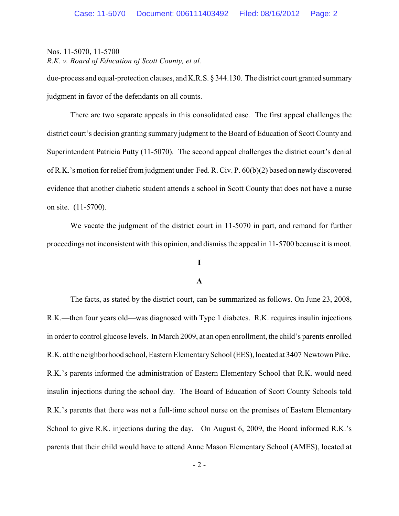due-process and equal-protection clauses, and K.R.S. § 344.130. The district court granted summary judgment in favor of the defendants on all counts.

There are two separate appeals in this consolidated case. The first appeal challenges the district court's decision granting summary judgment to the Board of Education of Scott County and Superintendent Patricia Putty (11-5070). The second appeal challenges the district court's denial of R.K.'s motion for relief from judgment under Fed. R. Civ. P. 60(b)(2) based on newly discovered evidence that another diabetic student attends a school in Scott County that does not have a nurse on site. (11-5700).

We vacate the judgment of the district court in 11-5070 in part, and remand for further proceedings not inconsistent with this opinion, and dismissthe appeal in 11-5700 because it is moot.

# **I**

#### **A**

The facts, as stated by the district court, can be summarized as follows. On June 23, 2008, R.K.—then four years old—was diagnosed with Type 1 diabetes. R.K. requires insulin injections in order to control glucose levels. In March 2009, at an open enrollment, the child's parents enrolled R.K. at the neighborhood school, Eastern ElementarySchool (EES), located at 3407 Newtown Pike. R.K.'s parents informed the administration of Eastern Elementary School that R.K. would need insulin injections during the school day. The Board of Education of Scott County Schools told R.K.'s parents that there was not a full-time school nurse on the premises of Eastern Elementary School to give R.K. injections during the day. On August 6, 2009, the Board informed R.K.'s parents that their child would have to attend Anne Mason Elementary School (AMES), located at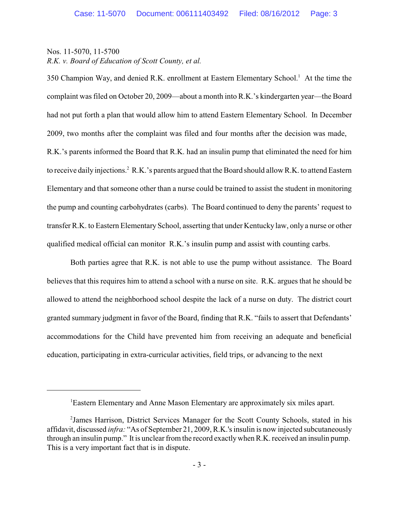350 Champion Way, and denied R.K. enrollment at Eastern Elementary School.<sup>1</sup> At the time the complaint was filed on October 20, 2009—about a month into R.K.'s kindergarten year—the Board had not put forth a plan that would allow him to attend Eastern Elementary School. In December 2009, two months after the complaint was filed and four months after the decision was made, R.K.'s parents informed the Board that R.K. had an insulin pump that eliminated the need for him to receive daily injections.<sup>2</sup> R.K.'s parents argued that the Board should allow R.K. to attend Eastern Elementary and that someone other than a nurse could be trained to assist the student in monitoring the pump and counting carbohydrates (carbs). The Board continued to deny the parents' request to transfer R.K. to Eastern Elementary School, asserting that under Kentucky law, only a nurse or other qualified medical official can monitor R.K.'s insulin pump and assist with counting carbs.

Both parties agree that R.K. is not able to use the pump without assistance. The Board believes that this requires him to attend a school with a nurse on site. R.K. argues that he should be allowed to attend the neighborhood school despite the lack of a nurse on duty. The district court granted summary judgment in favor of the Board, finding that R.K. "fails to assert that Defendants' accommodations for the Child have prevented him from receiving an adequate and beneficial education, participating in extra-curricular activities, field trips, or advancing to the next

<sup>&</sup>lt;sup>1</sup>Eastern Elementary and Anne Mason Elementary are approximately six miles apart.

<sup>&</sup>lt;sup>2</sup> James Harrison, District Services Manager for the Scott County Schools, stated in his affidavit, discussed *infra:* "As of September 21, 2009, R.K.'s insulin is now injected subcutaneously through an insulin pump." It is unclear from the record exactlywhen R.K. received an insulin pump. This is a very important fact that is in dispute.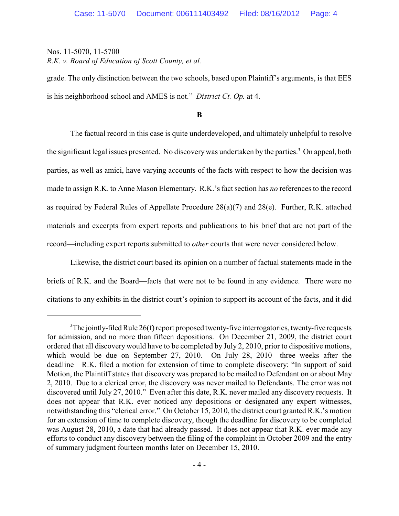grade. The only distinction between the two schools, based upon Plaintiff's arguments, is that EES is his neighborhood school and AMES is not." *District Ct. Op.* at 4.

**B**

The factual record in this case is quite underdeveloped, and ultimately unhelpful to resolve the significant legal issues presented. No discovery was undertaken by the parties.<sup>3</sup> On appeal, both parties, as well as amici, have varying accounts of the facts with respect to how the decision was made to assign R.K. to Anne Mason Elementary. R.K.'s fact section has *no* references to the record as required by Federal Rules of Appellate Procedure 28(a)(7) and 28(e). Further, R.K. attached materials and excerpts from expert reports and publications to his brief that are not part of the record—including expert reports submitted to *other* courts that were never considered below.

Likewise, the district court based its opinion on a number of factual statements made in the briefs of R.K. and the Board—facts that were not to be found in any evidence. There were no citations to any exhibits in the district court's opinion to support its account of the facts, and it did

 $3$ The jointly-filed Rule 26(f) report proposed twenty-five interrogatories, twenty-five requests for admission, and no more than fifteen depositions. On December 21, 2009, the district court ordered that all discovery would have to be completed by July 2, 2010, prior to dispositive motions, which would be due on September 27, 2010. On July 28, 2010—three weeks after the deadline—R.K. filed a motion for extension of time to complete discovery: "In support of said Motion, the Plaintiff states that discovery was prepared to be mailed to Defendant on or about May 2, 2010. Due to a clerical error, the discovery was never mailed to Defendants. The error was not discovered until July 27, 2010." Even after this date, R.K. never mailed any discovery requests. It does not appear that R.K. ever noticed any depositions or designated any expert witnesses, notwithstanding this "clerical error." On October 15, 2010, the district court granted R.K.'s motion for an extension of time to complete discovery, though the deadline for discovery to be completed was August 28, 2010, a date that had already passed. It does not appear that R.K. ever made any efforts to conduct any discovery between the filing of the complaint in October 2009 and the entry of summary judgment fourteen months later on December 15, 2010.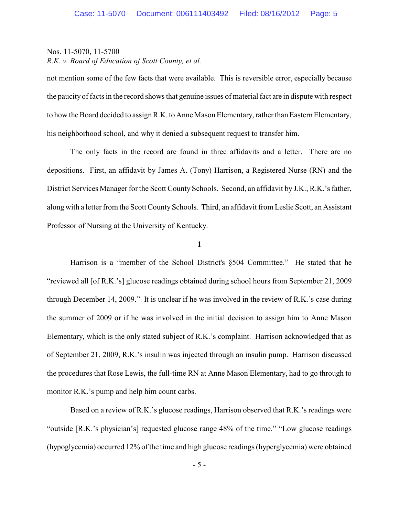not mention some of the few facts that were available. This is reversible error, especially because the paucity of facts in the record shows that genuine issues of material fact are in dispute with respect to how the Board decided to assign R.K. to Anne Mason Elementary, rather than Eastern Elementary, his neighborhood school, and why it denied a subsequent request to transfer him.

The only facts in the record are found in three affidavits and a letter. There are no depositions. First, an affidavit by James A. (Tony) Harrison, a Registered Nurse (RN) and the District Services Manager for the Scott County Schools. Second, an affidavit by J.K., R.K.'s father, along with a letter from the Scott County Schools. Third, an affidavit from Leslie Scott, an Assistant Professor of Nursing at the University of Kentucky.

**1**

Harrison is a "member of the School District's §504 Committee." He stated that he "reviewed all [of R.K.'s] glucose readings obtained during school hours from September 21, 2009 through December 14, 2009." It is unclear if he was involved in the review of R.K.'s case during the summer of 2009 or if he was involved in the initial decision to assign him to Anne Mason Elementary, which is the only stated subject of R.K.'s complaint. Harrison acknowledged that as of September 21, 2009, R.K.'s insulin was injected through an insulin pump. Harrison discussed the procedures that Rose Lewis, the full-time RN at Anne Mason Elementary, had to go through to monitor R.K.'s pump and help him count carbs.

Based on a review of R.K.'s glucose readings, Harrison observed that R.K.'s readings were "outside [R.K.'s physician's] requested glucose range 48% of the time." "Low glucose readings (hypoglycemia) occurred 12% of the time and high glucose readings (hyperglycemia) were obtained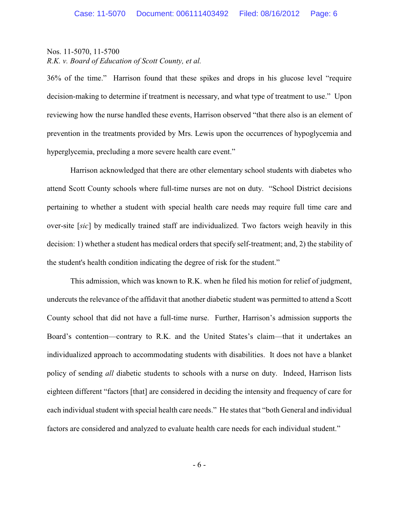36% of the time." Harrison found that these spikes and drops in his glucose level "require decision-making to determine if treatment is necessary, and what type of treatment to use." Upon reviewing how the nurse handled these events, Harrison observed "that there also is an element of prevention in the treatments provided by Mrs. Lewis upon the occurrences of hypoglycemia and hyperglycemia, precluding a more severe health care event."

Harrison acknowledged that there are other elementary school students with diabetes who attend Scott County schools where full-time nurses are not on duty. "School District decisions pertaining to whether a student with special health care needs may require full time care and over-site [*sic*] by medically trained staff are individualized. Two factors weigh heavily in this decision: 1) whether a student has medical orders that specify self-treatment; and, 2) the stability of the student's health condition indicating the degree of risk for the student."

This admission, which was known to R.K. when he filed his motion for relief of judgment, undercuts the relevance of the affidavit that another diabetic student was permitted to attend a Scott County school that did not have a full-time nurse. Further, Harrison's admission supports the Board's contention—contrary to R.K. and the United States's claim—that it undertakes an individualized approach to accommodating students with disabilities. It does not have a blanket policy of sending *all* diabetic students to schools with a nurse on duty. Indeed, Harrison lists eighteen different "factors [that] are considered in deciding the intensity and frequency of care for each individual student with special health care needs." He states that "both General and individual factors are considered and analyzed to evaluate health care needs for each individual student."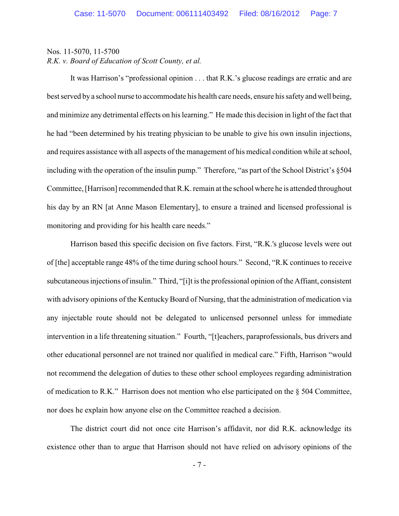It was Harrison's "professional opinion . . . that R.K.'s glucose readings are erratic and are best served by a school nurse to accommodate his health care needs, ensure his safety and well being, and minimize any detrimental effects on his learning." He made this decision in light of the fact that he had "been determined by his treating physician to be unable to give his own insulin injections, and requires assistance with all aspects of the management of his medical condition while at school, including with the operation of the insulin pump." Therefore, "as part of the School District's §504 Committee, [Harrison] recommended that R.K. remain at the school where he is attended throughout his day by an RN [at Anne Mason Elementary], to ensure a trained and licensed professional is monitoring and providing for his health care needs."

Harrison based this specific decision on five factors. First, "R.K.'s glucose levels were out of [the] acceptable range 48% of the time during school hours." Second, "R.K continues to receive subcutaneous injections of insulin." Third, "[i]t is the professional opinion of the Affiant, consistent with advisory opinions of the Kentucky Board of Nursing, that the administration of medication via any injectable route should not be delegated to unlicensed personnel unless for immediate intervention in a life threatening situation." Fourth, "[t]eachers, paraprofessionals, bus drivers and other educational personnel are not trained nor qualified in medical care." Fifth, Harrison "would not recommend the delegation of duties to these other school employees regarding administration of medication to R.K." Harrison does not mention who else participated on the  $\S$  504 Committee, nor does he explain how anyone else on the Committee reached a decision.

The district court did not once cite Harrison's affidavit, nor did R.K. acknowledge its existence other than to argue that Harrison should not have relied on advisory opinions of the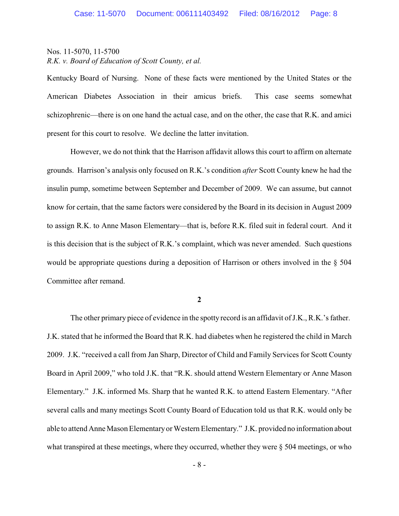Kentucky Board of Nursing. None of these facts were mentioned by the United States or the American Diabetes Association in their amicus briefs. This case seems somewhat schizophrenic—there is on one hand the actual case, and on the other, the case that R.K. and amici present for this court to resolve. We decline the latter invitation.

However, we do not think that the Harrison affidavit allows this court to affirm on alternate grounds. Harrison's analysis only focused on R.K.'s condition *after* Scott County knew he had the insulin pump, sometime between September and December of 2009. We can assume, but cannot know for certain, that the same factors were considered by the Board in its decision in August 2009 to assign R.K. to Anne Mason Elementary—that is, before R.K. filed suit in federal court. And it is this decision that is the subject of R.K.'s complaint, which was never amended. Such questions would be appropriate questions during a deposition of Harrison or others involved in the § 504 Committee after remand.

**2**

The other primary piece of evidence in the spotty record is an affidavit of J.K., R.K.'s father. J.K. stated that he informed the Board that R.K. had diabetes when he registered the child in March 2009. J.K. "received a call from Jan Sharp, Director of Child and Family Services for Scott County Board in April 2009," who told J.K. that "R.K. should attend Western Elementary or Anne Mason Elementary." J.K. informed Ms. Sharp that he wanted R.K. to attend Eastern Elementary. "After several calls and many meetings Scott County Board of Education told us that R.K. would only be able to attend Anne Mason Elementaryor Western Elementary." J.K. provided no information about what transpired at these meetings, where they occurred, whether they were  $\S$  504 meetings, or who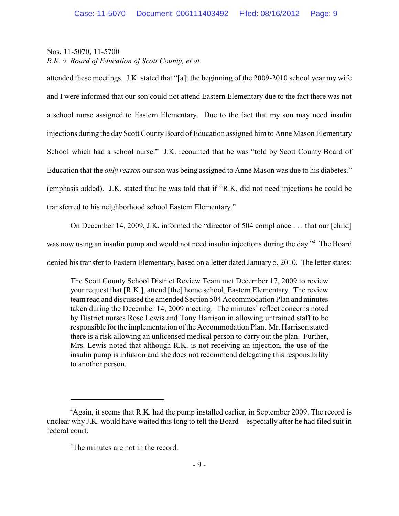attended these meetings. J.K. stated that "[a]t the beginning of the 2009-2010 school year my wife and I were informed that our son could not attend Eastern Elementary due to the fact there was not a school nurse assigned to Eastern Elementary. Due to the fact that my son may need insulin injections during the day Scott County Board of Education assigned him to Anne Mason Elementary School which had a school nurse." J.K. recounted that he was "told by Scott County Board of Education that the *only reason* our son was being assigned to Anne Mason was due to his diabetes." (emphasis added). J.K. stated that he was told that if "R.K. did not need injections he could be transferred to his neighborhood school Eastern Elementary."

On December 14, 2009, J.K. informed the "director of 504 compliance . . . that our [child]

was now using an insulin pump and would not need insulin injections during the day."<sup>4</sup> The Board

denied his transfer to Eastern Elementary, based on a letter dated January 5, 2010. The letter states:

The Scott County School District Review Team met December 17, 2009 to review your request that [R.K.], attend [the] home school, Eastern Elementary. The review team read and discussed the amended Section 504 Accommodation Plan and minutes taken during the December 14, 2009 meeting. The minutes $<sup>5</sup>$  reflect concerns noted</sup> by District nurses Rose Lewis and Tony Harrison in allowing untrained staff to be responsible for the implementation of the Accommodation Plan. Mr. Harrison stated there is a risk allowing an unlicensed medical person to carry out the plan. Further, Mrs. Lewis noted that although R.K. is not receiving an injection, the use of the insulin pump is infusion and she does not recommend delegating this responsibility to another person.

 $A$  Again, it seems that R.K. had the pump installed earlier, in September 2009. The record is unclear why J.K. would have waited this long to tell the Board—especially after he had filed suit in federal court.

 $5$ The minutes are not in the record.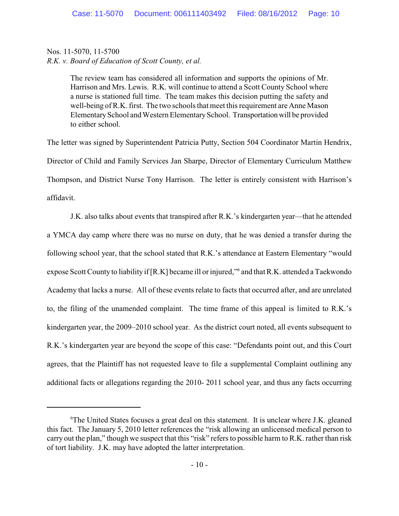The review team has considered all information and supports the opinions of Mr. Harrison and Mrs. Lewis. R.K. will continue to attend a Scott County School where a nurse is stationed full time. The team makes this decision putting the safety and well-being of R.K. first. The two schools that meet this requirement are Anne Mason ElementarySchool and Western ElementarySchool. Transportationwill be provided to either school.

The letter was signed by Superintendent Patricia Putty, Section 504 Coordinator Martin Hendrix, Director of Child and Family Services Jan Sharpe, Director of Elementary Curriculum Matthew Thompson, and District Nurse Tony Harrison. The letter is entirely consistent with Harrison's affidavit.

J.K. also talks about events that transpired after R.K.'s kindergarten year—that he attended a YMCA day camp where there was no nurse on duty, that he was denied a transfer during the following school year, that the school stated that R.K.'s attendance at Eastern Elementary "would expose Scott County to liability if  $[R,K]$  became ill or injured," and that  $R,K$ . attended a Taekwondo Academy that lacks a nurse. All of these events relate to facts that occurred after, and are unrelated to, the filing of the unamended complaint. The time frame of this appeal is limited to R.K.'s kindergarten year, the 2009–2010 school year. As the district court noted, all events subsequent to R.K.'s kindergarten year are beyond the scope of this case: "Defendants point out, and this Court agrees, that the Plaintiff has not requested leave to file a supplemental Complaint outlining any additional facts or allegations regarding the 2010- 2011 school year, and thus any facts occurring

<sup>&</sup>lt;sup>6</sup>The United States focuses a great deal on this statement. It is unclear where J.K. gleaned this fact. The January 5, 2010 letter references the "risk allowing an unlicensed medical person to carry out the plan," though we suspect that this "risk" refers to possible harm to R.K. rather than risk of tort liability. J.K. may have adopted the latter interpretation.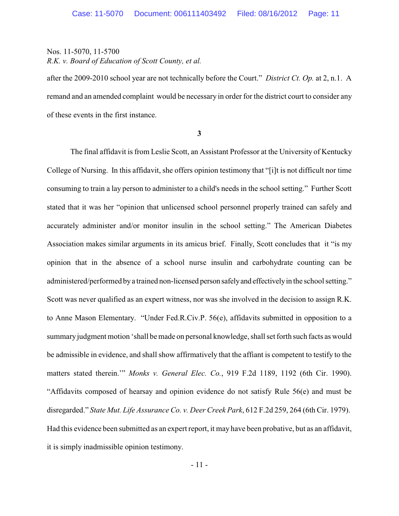after the 2009-2010 school year are not technically before the Court." *District Ct. Op.* at 2, n.1. A remand and an amended complaint would be necessary in order for the district court to consider any of these events in the first instance.

**3**

The final affidavit is from Leslie Scott, an Assistant Professor at the University of Kentucky College of Nursing. In this affidavit, she offers opinion testimony that "[i]t is not difficult nor time consuming to train a lay person to administer to a child's needs in the school setting." Further Scott stated that it was her "opinion that unlicensed school personnel properly trained can safely and accurately administer and/or monitor insulin in the school setting." The American Diabetes Association makes similar arguments in its amicus brief. Finally, Scott concludes that it "is my opinion that in the absence of a school nurse insulin and carbohydrate counting can be administered/performed bya trained non-licensed person safelyand effectivelyin the school setting." Scott was never qualified as an expert witness, nor was she involved in the decision to assign R.K. to Anne Mason Elementary. "Under Fed.R.Civ.P. 56(e), affidavits submitted in opposition to a summary judgment motion 'shall be made on personal knowledge, shall set forth such facts as would be admissible in evidence, and shall show affirmatively that the affiant is competent to testify to the matters stated therein.'" *Monks v. General Elec. Co.*, 919 F.2d 1189, 1192 (6th Cir. 1990). "Affidavits composed of hearsay and opinion evidence do not satisfy Rule 56(e) and must be disregarded." *State Mut. Life Assurance Co. v. Deer Creek Park*, 612 F.2d 259, 264 (6th Cir. 1979). Had this evidence been submitted as an expert report, it may have been probative, but as an affidavit, it is simply inadmissible opinion testimony.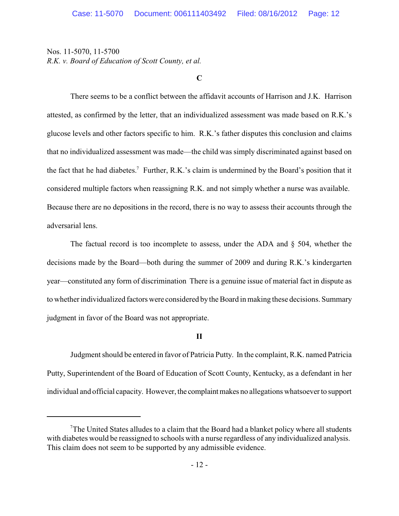**C**

There seems to be a conflict between the affidavit accounts of Harrison and J.K. Harrison attested, as confirmed by the letter, that an individualized assessment was made based on R.K.'s glucose levels and other factors specific to him. R.K.'s father disputes this conclusion and claims that no individualized assessment was made—the child was simply discriminated against based on the fact that he had diabetes.<sup>7</sup> Further, R.K.'s claim is undermined by the Board's position that it considered multiple factors when reassigning R.K. and not simply whether a nurse was available. Because there are no depositions in the record, there is no way to assess their accounts through the adversarial lens.

The factual record is too incomplete to assess, under the ADA and § 504, whether the decisions made by the Board—both during the summer of 2009 and during R.K.'s kindergarten year—constituted any form of discrimination There is a genuine issue of material fact in dispute as to whetherindividualized factors were considered by the Board in making these decisions. Summary judgment in favor of the Board was not appropriate.

## **II**

Judgment should be entered in favor of Patricia Putty. In the complaint, R.K. named Patricia Putty, Superintendent of the Board of Education of Scott County, Kentucky, as a defendant in her individual and official capacity. However, the complaint makes no allegations whatsoever to support

 $T$ The United States alludes to a claim that the Board had a blanket policy where all students with diabetes would be reassigned to schools with a nurse regardless of any individualized analysis. This claim does not seem to be supported by any admissible evidence.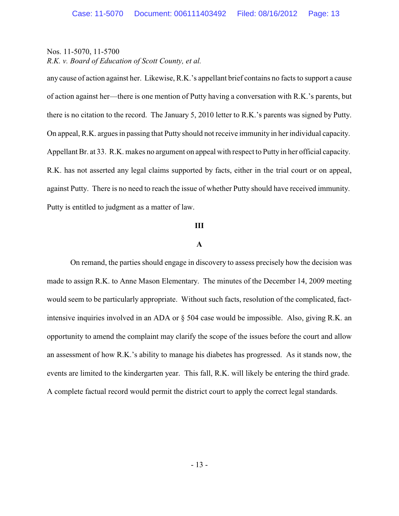any cause of action against her. Likewise, R.K.'s appellant brief contains no facts to support a cause of action against her—there is one mention of Putty having a conversation with R.K.'s parents, but there is no citation to the record. The January 5, 2010 letter to R.K.'s parents was signed by Putty. On appeal, R.K. argues in passing that Putty should not receive immunity in her individual capacity. Appellant Br. at 33. R.K. makes no argument on appeal with respect to Putty in her official capacity. R.K. has not asserted any legal claims supported by facts, either in the trial court or on appeal, against Putty. There is no need to reach the issue of whether Putty should have received immunity. Putty is entitled to judgment as a matter of law.

#### **III**

#### **A**

On remand, the parties should engage in discovery to assess precisely how the decision was made to assign R.K. to Anne Mason Elementary. The minutes of the December 14, 2009 meeting would seem to be particularly appropriate. Without such facts, resolution of the complicated, factintensive inquiries involved in an ADA or § 504 case would be impossible. Also, giving R.K. an opportunity to amend the complaint may clarify the scope of the issues before the court and allow an assessment of how R.K.'s ability to manage his diabetes has progressed. As it stands now, the events are limited to the kindergarten year. This fall, R.K. will likely be entering the third grade. A complete factual record would permit the district court to apply the correct legal standards.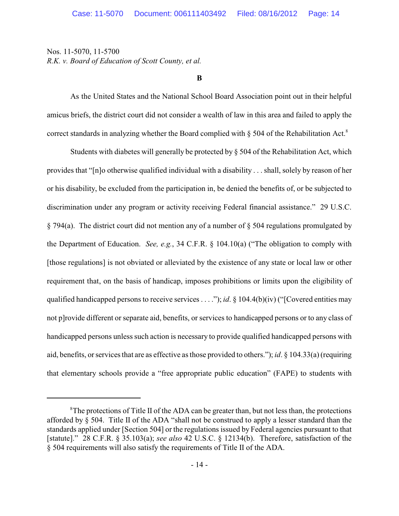**B**

As the United States and the National School Board Association point out in their helpful amicus briefs, the district court did not consider a wealth of law in this area and failed to apply the correct standards in analyzing whether the Board complied with  $\S$  504 of the Rehabilitation Act.<sup>8</sup>

Students with diabetes will generally be protected by § 504 of the Rehabilitation Act, which provides that "[n]o otherwise qualified individual with a disability . . . shall, solely by reason of her or his disability, be excluded from the participation in, be denied the benefits of, or be subjected to discrimination under any program or activity receiving Federal financial assistance." 29 U.S.C. § 794(a). The district court did not mention any of a number of § 504 regulations promulgated by the Department of Education. *See, e.g.*, 34 C.F.R. § 104.10(a) ("The obligation to comply with [those regulations] is not obviated or alleviated by the existence of any state or local law or other requirement that, on the basis of handicap, imposes prohibitions or limits upon the eligibility of qualified handicapped persons to receive services . . . ."); *id*. § 104.4(b)(iv) ("[Covered entities may not p]rovide different or separate aid, benefits, or services to handicapped persons or to any class of handicapped persons unless such action is necessary to provide qualified handicapped persons with aid, benefits, or services that are as effective as those provided to others."); *id*. § 104.33(a)(requiring that elementary schools provide a "free appropriate public education" (FAPE) to students with

 ${}^8$ The protections of Title II of the ADA can be greater than, but not less than, the protections afforded by § 504. Title II of the ADA "shall not be construed to apply a lesser standard than the standards applied under [Section 504] or the regulations issued by Federal agencies pursuant to that [statute]." 28 C.F.R. § 35.103(a); *see also* 42 U.S.C. § 12134(b). Therefore, satisfaction of the § 504 requirements will also satisfy the requirements of Title II of the ADA.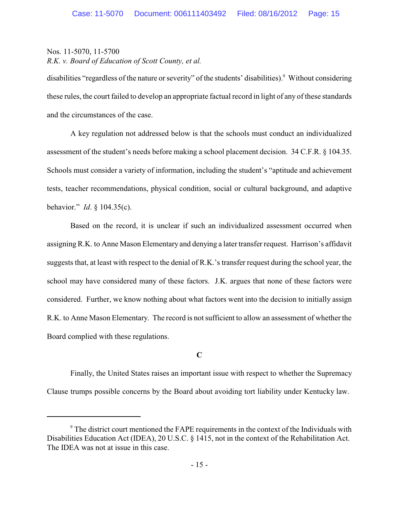disabilities "regardless of the nature or severity" of the students' disabilities).<sup>9</sup> Without considering these rules, the court failed to develop an appropriate factual record in light of any of these standards and the circumstances of the case.

A key regulation not addressed below is that the schools must conduct an individualized assessment of the student's needs before making a school placement decision. 34 C.F.R. § 104.35. Schools must consider a variety of information, including the student's "aptitude and achievement tests, teacher recommendations, physical condition, social or cultural background, and adaptive behavior." *Id*. § 104.35(c).

Based on the record, it is unclear if such an individualized assessment occurred when assigning R.K. to Anne Mason Elementary and denying a later transfer request. Harrison's affidavit suggests that, at least with respect to the denial of R.K.'s transfer request during the school year, the school may have considered many of these factors. J.K. argues that none of these factors were considered. Further, we know nothing about what factors went into the decision to initially assign R.K. to Anne Mason Elementary. The record is not sufficient to allow an assessment of whether the Board complied with these regulations.

## **C**

Finally, the United States raises an important issue with respect to whether the Supremacy Clause trumps possible concerns by the Board about avoiding tort liability under Kentucky law.

<sup>&</sup>lt;sup>9</sup> The district court mentioned the FAPE requirements in the context of the Individuals with Disabilities Education Act (IDEA), 20 U.S.C. § 1415, not in the context of the Rehabilitation Act. The IDEA was not at issue in this case.